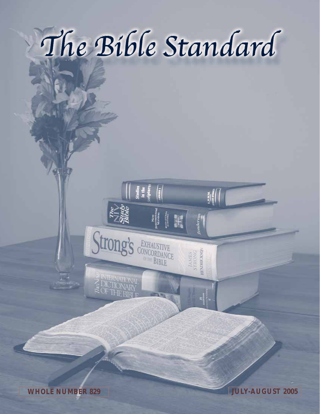# The Bible Standard

 $|| \frac{1}{2}$ 

Strong's CONCORDANCE

411

 $\begin{array}{c} \textit{TAMHS} \\ \textit{STRONG} \\ \textit{HENDEGNSON} \end{array}$ 

**WHOLE NUMBER 829 JULY-AUGUST 2005**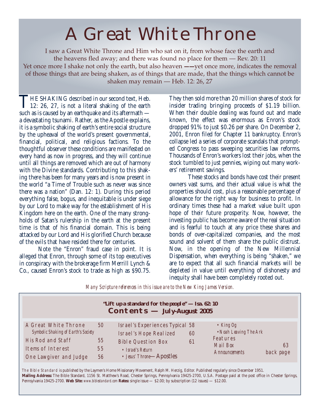## A Great White Throne

I saw a Great White Throne and Him who sat on it, from whose face the earth and the heavens fled away; and there was found no place for them — Rev. 20: 11 Yet once more I shake not only the earth, but also heaven --- yet once more, indicates the removal of those things that are being shaken, as of things that are made, that the things which cannot be shaken may remain — Heb. 12: 26, 27

THE SHAKING described in our second text, Heb.<br>12: 26, 27, is not a literal shaking of the earth such as is caused by an earthquake and its aftermath a devastating tsunami. Rather, as the Apostle explains, it is a symbolic shaking of earth's entire social structure by the upheaval of the world's present governmental, financial, political, and religious factions. To the thoughtful observer these conditions are manifested on every hand as now in progress, and they will continue until all things are removed which are out of harmony with the Divine standards. Contributing to this shaking there has been for many years and is now present in the world "a Time of Trouble such as never was since there was a nation" (Dan. 12: 1). During this period everything false, bogus, and inequitable is under siege by our Lord to make way for the establishment of His Kingdom here on the earth. One of the many strongholds of Satan's rulership in the earth at the present time is that of his financial domain. This is being attacked by our Lord and His glorified Church because of the evils that have resided there for centuries.

Note the "Enron" fraud case in point. It is alleged that Enron, through some of its top executives in conspiracy with the brokerage firm Merrill Lynch & Co., caused Enron's stock to trade as high as \$90.75.

They then sold more than 20 million shares of stock for insider trading bringing proceeds of \$1.19 billion. When their double dealing was found out and made known, the effect was enormous as Enron's stock dropped 91% to just \$0.26 per share. On December 2, 2001, Enron filed for Chapter 11 bankruptcy. Enron's collapse led a series of corporate scandals that prompted Congress to pass sweeping securities law reforms. Thousands of Enron's workers lost their jobs, when the stock tumbled to just pennies, wiping out many workers' retirement savings.

These stocks and bonds have cost their present owners vast sums, and their actual value is what the properties should cost, plus a reasonable percentage of allowance for the right way for business to profit. In ordinary times these had a market value built upon hope of their future prosperity. Now, however, the investing public has become aware of the real situation and is fearful to touch at any price these shares and bonds of over-capitalized companies, and the most sound and solvent of them share the public distrust. Now, in the opening of the New Millennial Dispensation, when everything is being "shaken," we are to expect that all such financial markets will be depleted in value until everything of dishonesty and inequity shall have been completely rooted out.

*Many Scripture references in this issue are to the New King James Version.*

| "Lift up a standard for the people" - Isa. 62: 10<br>$\text{Contents} - \text{July-August } 2005$                               |                      |                                                                                                                                                |          |                                                                                       |                 |  |  |  |
|---------------------------------------------------------------------------------------------------------------------------------|----------------------|------------------------------------------------------------------------------------------------------------------------------------------------|----------|---------------------------------------------------------------------------------------|-----------------|--|--|--|
| A Great White Throne<br>Symbolic Shaking of Earth's Society<br>His Rod and Staff<br>Items of Interest<br>One Lawgiver and Judge | 50<br>55<br>55<br>56 | Israel's Experiences Typical 58<br><b>Israel's Hope Realized</b><br><b>Bible Question Box</b><br>• Israel's Return<br>• Jesus' Throne-Apostles | 60<br>61 | • King $Og$<br>• Noah Leaving The Ark<br>Features<br>Mail Box<br><i>Announcements</i> | 63<br>back page |  |  |  |

The Bible Standard is published by the Laymen's Home Missionary Movement, Ralph M. Herzig, Editor. Published regularly since December 1951. **Mailing Address:** The Bible Standard, 1156 St. Matthew's Road, Chester Springs, Pennsylvania 19425-2700, U.S.A. Postage paid at the post office in Chester Springs, Pennsylvania 19425-2700. **Web Site:** *www.biblestandard.com* **Rates:** single issue — \$2.00; by subscription (12 issues) — \$12.00.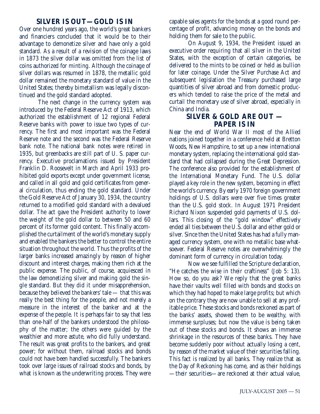#### **SILVER IS OUT—GOLD IS IN**

Over one hundred years ago, the world's great bankers and financiers concluded that it would be to their advantage to demonetize silver and have only a gold standard. As a result of a revision of the coinage laws in 1873 the silver dollar was omitted from the list of coins authorized for minting. Although the coinage of silver dollars was resumed in 1878, the metallic gold dollar remained the monetary standard of value in the United States; thereby bimetallism was legally discontinued and the gold standard adopted.

The next change in the currency system was introduced by the Federal Reserve Act of 1913, which authorized the establishment of 12 regional Federal Reserve banks with power to issue two types of currency. The first and most important was the Federal Reserve note and the second was the Federal Reserve bank note. The national bank notes were retired in 1935, but greenbacks are still part of U. S. paper currency. Executive proclamations issued by President Franklin D. Roosevelt in March and April 1933 prohibited gold exports except under government license, and called in all gold and gold certificates from general circulation, thus ending the gold standard. Under the Gold Reserve Act of January 30, 1934, the country returned to a modified gold standard with a devalued dollar. The act gave the President authority to lower the weight of the gold dollar to between 50 and 60 percent of its former gold content. This finally accomplished the curtailment of the world's monetary supply and enabled the bankers the better to control the entire situation throughout the world. Thus the profits of the larger banks increased amazingly by reason of higher discount and interest charges, making them rich at the public expense. The public, of course, acquiesced in the law demonetizing silver and making gold the single standard. But they did it under misapprehension, because they believed the bankers' tale — that this was really the best thing for the people, and not merely a measure in the interest of the banker and at the expense of the people. It is perhaps fair to say that less than one-half of the bankers understood the philosophy of the matter; the others were guided by the wealthier and more astute, who did fully understand. The result was great profits to the bankers, and great power; for without them, railroad stocks and bonds could not have been handled successfully. The bankers took over large issues of railroad stocks and bonds, by what is known as the underwriting process. They were

capable sales agents for the bonds at a good round percentage of profit, advancing money on the bonds and holding them for sale to the public.

On August 9, 1934, the President issued an executive order requiring that all silver in the United States, with the exception of certain categories, be delivered to the mints to be coined or held as bullion for later coinage. Under the Silver Purchase Act and subsequent legislation the Treasury purchased large quantities of silver abroad and from domestic producers which tended to raise the price of the metal and curtail the monetary use of silver abroad, especially in China and India.

### **SILVER & GOLD ARE OUT — PAPER IS IN**

Near the end of World War II most of the Allied nations joined together in a conference held at Bretton Woods, New Hampshire, to set up a new international monetary system, replacing the international gold standard that had collapsed during the Great Depression. The conference also provided for the establishment of the International Monetary Fund. The U.S. dollar played a key role in the new system, becoming in effect the world's currency. By early 1970 foreign government holdings of U.S. dollars were over five times greater than the U.S. gold stock. In August 1971 President Richard Nixon suspended gold payments of U.S. dollars. This closing of the "gold window" effectively ended all ties between the U.S. dollar and either gold or silver. Since then the United States has had a fully managed currency system, one with no metallic base whatsoever. Federal Reserve notes are overwhelmingly the dominant form of currency in circulation today.

Now we see fulfilled the Scripture declaration, "He catches the wise in their craftiness" (Job 5: 13). How so, do you ask? We reply that the great banks have their vaults well filled with bonds and stocks on which they had hoped to make large profits; but which on the contrary they are now unable to sell at any profitable price. These stocks and bonds reckoned as part of the banks' assets, showed them to be wealthy, with immense surpluses; but now the value is being taken out of these stocks and bonds. It shows an immense shrinkage in the resources of these banks. They have become suddenly poor without actually losing a cent, by reason of the market value of their securities falling. This fact is realized by all banks. They realize that as the Day of Reckoning has come, and as their holdings —their securities—are reckoned at their actual value,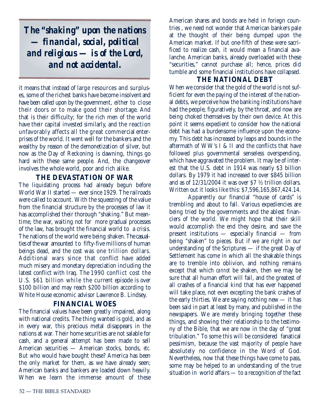*The "shaking" upon the nations — financial, social, political and religious — is of the Lord, and not accidental.*

it means that instead of large resources and surpluses, some of the richest banks have become insolvent and have been called upon by the government, either to close their doors or to make good their shortage. And that is their difficulty; for the rich men of the world have their capital invested similarly, and the reaction unfavorably affects all the great commercial enterprises of the world. It went well for the bankers and the wealthy by reason of the demonetization of silver, but now as the Day of Reckoning is dawning, things go hard with these same people. And, the changeover involves the whole world, poor and rich alike.

## **THE DEVASTATION OF WAR**

The liquidating process had already begun before World War II started — ever since 1929. The railroads were called to account. With the squeezing of the value from the financial structure by the processes of law it has accomplished their thorough "shaking." But meantime, the war, waiting not for more gradual processes of the law, has brought the financial world to a crisis. The nations of the world were being shaken. The casualties of the war amounted to fifty-five millions of human beings dead, and the cost was one trillion dollars. Additional wars since that conflict have added much misery and monetary depreciation including the latest conflict with Iraq. The 1990 conflict cost the U.S. \$61 billion while the current episode is over \$100 billion and may reach \$200 billion according to White House economic advisor Lawrence B. Lindsey.

## **FINANCIAL WOES**

The financial values have been greatly impaired, along with national credits. The thing wanted is gold, and as in every war, this precious metal disappears in the nations at war. Their home securities are not salable for cash, and a general attempt has been made to sell American securities — American stocks, bonds, *etc.* But who would have bought these? America has been the only market for them, as we have already seen; American banks and bankers are loaded down heavily. When we learn the immense amount of these

American shares and bonds are held in foriegn countries , we need not wonder that American bankers pale at the thought of their being dumped upon the American market. If but one-fifth of these were sacrificed to realize cash, it would mean a financial avalanche. American banks, already overloaded with these "securities," cannot purchase all; hence, prices did tumble and some financial institutions have collapsed.

### **THE NATIONAL DEBT**

When we consider that the gold of the world is not sufficient for even the paying of the interest of the national debts, we perceive how the banking institutions have had the people, figuratively, by the throat, and now are being choked themselves by their own device. At this point it seems expedient to consider how the national debt has had a burdensome influence upon the economy. This debt has increased by leaps and bounds in the aftermath of WW's I & II and the conflicts that have followed plus governmental senseless overspending, which have aggravated the problem. It may be of interest that the U.S. debt in 1914 was nearly \$3 billion dollars. By 1979 it had increased to over \$845 billion and as of 12/31/2004 it was over \$7 ½ trillion dollars. Written out it looks like this: \$7,596,165,867,424.14.

Apparently our financial "house of cards" is trembling and about to fall. Various expediencies are being tried by the governments and the ablest financiers of the world. We might hope that their skill would accomplish the end they desire, and save the present institutions — especially financial — from being "shaken" to pieces. But if we are right in our understanding of the Scriptures — if the great Day of Settlement has come in which all the shakable things are to tremble into oblivion, and nothing remains except that which *cannot* be shaken, then we may be sure that all human effort will fail, and the greatest of all crashes of a financial kind that has ever happened will take place, not even excepting the bank crashes of the early thirties. We are saying nothing new — it has been said in part at least by many, and published in the newspapers. We are merely bringing together these things, and showing their relationship to the testimony of the Bible, that we are now in the day of "great tribulation." To some this will be considered fanatical pessimism, because the vast majority of people have absolutely no confidence in the Word of God. Nevertheless, now that these things have come to pass, some may be helped to an understanding of the true situation in world affairs — to a recognition of the fact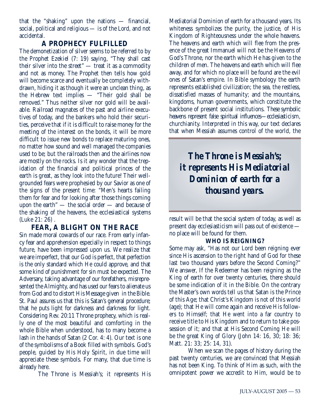that the "shaking" upon the nations — financial, social, political and religious — is of the Lord, and not accidental.

#### **A PROPHECY FULFILLED**

The demonetization of silver seems to be referred to by the Prophet Ezekiel (7: 19) saying, "They shall cast their silver into the street" — treat it as a commodity and not as money. The Prophet then tells how gold will become scarce and eventually be completely withdrawn, hiding it as though it were an unclean thing, as the Hebrew text implies — "Their gold shall be removed." Thus neither silver nor gold will be available. Railroad magnates of the past and airline executives of today, and the bankers who hold their securities, perceive that if it is difficult to raise money for the meeting of the interest on the bonds, it will be more difficult to issue new bonds to replace maturing ones, no matter how sound and well managed the companies used to be; but the railroads then and the airlines now are mostly on the rocks. Is it any wonder that the trepidation of the financial and political princes of the earth is great, as they look into the future! Their wellgrounded fears were prophesied by our Savior as one of the signs of the present time: "Men's hearts failing them for fear and for looking after those things coming upon the earth" — the social order — and because of the shaking of the heavens, the ecclesiastical systems (Luke 21: 26) .

## **FEAR, A BLIGHT ON THE RACE**

Sin made moral cowards of our race. From early infancy fear and apprehension especially in respect to things future, have been impressed upon us. We realize that we are imperfect, that our God is perfect, that perfection is the only standard which He could approve, and that some kind of punishment for sin must be expected. The Adversary, taking advantage of our forefathers, misrepresented the Almighty, and has used our fears to alienate us from God and to distort His Message given in the Bible. St. Paul assures us that this is Satan's general procedure; that he puts light for darkness and darkness for light. Considering Rev. 20:11 Throne prophecy, which is really one of the most beautiful and comforting in the whole Bible when understood, has to many become a lash in the hands of Satan (2 Cor. 4: 4). Our text is one of the symbolisms of a Book filled with symbols. God's people, guided by His Holy Spirit, in due time will appreciate these symbols. For many, that due time is already here.

The Throne is Messiah's; it represents His

Mediatorial Dominion of earth for a thousand years. Its whiteness symbolizes the purity, the justice, of His Kingdom of Righteousness under the whole heavens. The heavens and earth which will flee from the presence of the great Immanuel will not be the Heavens of God's Throne, nor the earth which He has given to the children of men. The heavens and earth which will flee away, and for which no place will be found are the evil ones of Satan's empire. In Bible symbology the earth represents established civilization; the sea, the restless, dissatisfied masses of humanity; and the mountains, kingdoms, human governments, which constitute the backbone of present social institutions. These symbolic heavens represent false spiritual influences—ecclesiasticism, churchianity. Interpreted in this way, our text declares that when Messiah assumes control of the world, the

*The Throne is Messiah's; it represents His Mediatorial Dominion of earth for a thousand years.*

result will be that the social system of today, as well as present day ecclesiasticism will pass out of existence no place will be found for them.

#### **WHO IS REIGNING?**

Some may ask, "Has not our Lord been reigning ever since His ascension to the right hand of God for these last two thousand years before the Second Coming?" We answer, If the Redeemer has been reigning as the King of earth for over twenty centuries, there should be some indication of it in the Bible. On the contrary the Master's own words tell us that Satan is the Prince of this Age; that Christ's Kingdom is not of this world (age); that He will come again and receive His followers to Himself; that He went into a far country to receive title to His Kingdom and to return to take possession of it; and that at His Second Coming He will be the great King of Glory (John 14: 16, 30; 18: 36; Matt. 21: 33; 25: 14, 31).

When we scan the pages of history during the past twenty centuries, we are convinced that Messiah has not been King. To think of Him as such, with the omnipotent power we accredit to Him, would be to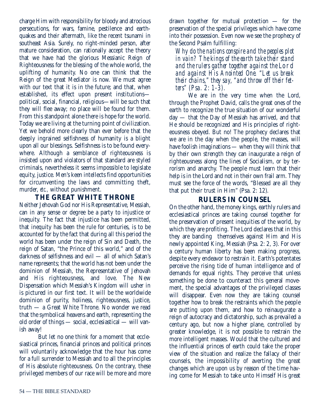charge Him with responsibility for bloody and atrocious persecutions, for wars, famine, pestilence and earthquakes and their aftermath, like the recent tsunami in southeast Asia. Surely, no right-minded person, after mature consideration, can rationally accept the theory that we have had the glorious Messianic Reign of Righteousness for the blessing of the whole world, the uplifting of humanity. No one can think that the Reign of the great Mediator is now. We must agree with our text that it is in the future; and that, when established, its effect upon present institutions political, social, financial, religious—will be such that they will flee away; no place will be found for them. From this standpoint alone there is hope for the world. Today we are living at the turning point of civilization. Yet we behold more clearly than ever before that the deeply ingrained selfishness of humanity is a blight upon all our blessings. Selfishness is to be found everywhere. Although a semblance of righteousness is insisted upon and violators of that standard are styled criminals, nevertheless it seems impossible to legislate equity, justice. Men's keen intellects find opportunities for circumventing the laws and committing theft, murder, *etc.,* without punishment.

#### **THE GREAT WHITE THRONE**

Neither Jehovah God nor His Representative, Messiah, can in any sense or degree be a party to injustice or inequity. The fact that injustice has been permitted, that inequity has been the rule for centuries, is to be accounted for by the fact that during all this period the world has been under the reign of Sin and Death, the reign of Satan, "the Prince of this world," and of the darkness of selfishness and evil — all of which Satan's name represents; that the world has not been under the dominion of Messiah, the Representative of Jehovah and His righteousness, and love. The New Dispensation which Messiah's Kingdom will usher in is pictured in our first text. It will be the worldwide dominion of purity, holiness, righteousness, justice, truth — a Great White Throne. No wonder we read that the symbolical heavens and earth, representing the old order of things — social, ecclesiastical — will vanish away!

But let no one think for a moment that ecclesiastical princes, financial princes and political princes will voluntarily acknowledge that the hour has come for a full surrender to Messiah and to all the principles of His absolute righteousness. On the contrary, these privileged members of our race will be more and more

drawn together for mutual protection — for the preservation of the special privileges which have come into their possession. Even now we see the prophecy of the Second Psalm fulfilling:

*Why do the nations conspire and the peoples plot in vain? The kings of the earth take their stand and the rulers gather together against the* Lord *and against His Anointed One. "Let us break their chains," they say, "and throw off their fetters" (Psa. 2: 1-3).*

We are in the very time when the Lord, through the Prophet David, calls the great ones of the earth to recognize the true situation of our wonderful day — that the Day of Messiah has arrived, and that He should be recognized and His principles of righteousness obeyed. But no! The prophecy declares that we are in the day when the people, the masses, will have foolish imaginations — when they will think that by their own strength they can inaugurate a reign of righteousness along the lines of Socialism, or by terrorism and anarchy. The people must learn that their help is in the Lord and not in their own frail arm. They must see the force of the words, "Blessed are all they that put their trust in Him" (Psa. 2: 12).

## **RULERS IN COUNSEL**

On the other hand, the money kings, earthly rulers and ecclesiastical princes are taking counsel together for the preservation of present inequities of the world, by which they are profiting. The Lord declares that in this they are banding themselves against Him and His newly appointed King, Messiah (Psa. 2: 2, 3). For over a century human liberty has been making progress, despite every endeavor to restrain it. Earth's potentates perceive the rising tide of human intelligence and of demands for equal rights. They perceive that unless something be done to counteract this general movement, the special advantages of the privileged classes will disappear. Even now they are taking counsel together how to break the restraints which the people are putting upon them, and how to reinaugurate a reign of autocracy and dictatorship, such as prevailed a century ago, but now a higher plane, controlled by greater knowledge, it is not possible to restrain the more intelligent masses. Would that the cultured and the influential princes of earth could take the proper view of the situation and realize the fallacy of their counsels, the impossibility of averting the great changes which are upon us by reason of the time having come for Messiah to take unto Himself His great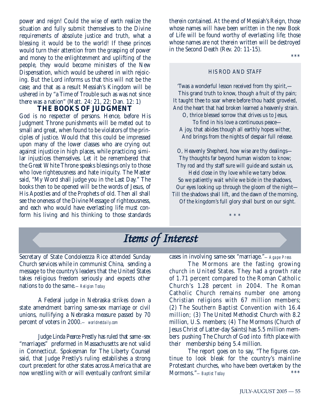power and reign! Could the wise of earth realize the situation and fully submit themselves to the Divine requirements of absolute justice and truth, what a blessing it would be to the world! If these princes would turn their attention from the grasping of power and money to the enlightenment and uplifting of the people, they would become ministers of the New Dispensation, which would be ushered in with rejoicing. But the Lord informs us that this will not be the case; and that as a result Messiah's Kingdom will be ushered in by "a Time of Trouble such as was not since there was a nation" (Matt. 24: 21, 22; Dan. 12: 1)

#### **THE BOOKS OF JUDGMENT**

God is no respecter of persons. Hence, before His Judgment Throne punishments will be meted out to small and great, when found to be violators of the principles of justice. Would that this could be impressed upon many of the lower classes who are crying out against injustice in high places, while practicing similar injustices themselves. Let it be remembered that the Great White Throne speaks blessings only to those who love righteousness and hate iniquity. The Master said, "My Word shall judge you in the Last Day." The books then to be opened will be the words of Jesus, of His Apostles and of the Prophets of old. Then all shall see the oneness of the Divine Message of righteousness, and each who would have everlasting life must conform his living and his thinking to those standards

therein contained. At the end of Messiah's Reign, those whose names will have been written in the new Book of Life will be found worthy of everlasting life; those whose names are not therein written will be destroyed in the Second Death (Rev. 20: 11-15).

\*\*\*

#### HIS ROD AND STAFF

'Twas a wonderful lesson received from thy spirit,— This grand truth to know, though a fruit of thy pain; It taught thee to soar where before thou hadst groveled, And the heart that had broken learned a heavenly strain.

O, thrice blessed sorrow that drives us to Jesus, To find in his love a continuous peace— A joy, that abides though all earthly hopes wither, And brings from the nights of despair full release.

O, Heavenly Shepherd, how wise are thy dealings— Thy thoughts far beyond human wisdom to know; Thy rod and thy staff sure will guide and sustain us, Held close in thy love while we tarry below.

So we patiently wait while we bide in the shadows, Our eyes looking up through the gloom of the night— Till the shadows shall lift, and the dawn of the morning,

Of the kingdom's full glory shall burst on our sight.

\* \* \*

## *Items of Interest*

Secretary of State Condoleezza Rice attended Sunday Church services while in communist China, sending a message to the country's leaders that the United States takes religious freedom seriously and expects other nations to do the same.*—Religion Today*

A Federal judge in Nebraska strikes down a state amendment barring same-sex marriage or civil unions, nullifying a Nebraska measure passed by 70 percent of voters in 2000.*— worldnetdaily.com*

Judge Linda Pearce Prestly has ruled that same -sex "marriages" preformed in Massachusetts are not valid in Connecticut. Spokesman for The Liberty Counsel said, that Judge Prestly's ruling establishes a strong court precedent for other states across America that are now wrestling with or will eventually confront similar

cases in involving same-sex "marriage."*—Agape Press*

The Mormons are the fasting growing church in United States. They had a growth rate of 1.71 percent compared to the Roman Catholic Church's 1.28 percent in 2004. The Roman Catholic Church remains number one among Christian religions with 67 million members; (2) The Southern Baptist Convention with 16.4 million; (3) The United Methodist Church with 8.2 million, U.S. members; (4) The Mormons (Church of Jesus Christ of Latter-day Saints) has 5.5 million members pushing The Church of God into fifth place with their membership being 5.4 million.

The report goes on to say, "The figures continue to look bleak for the country's mainline Protestant churches, who have been overtaken by the Mormons." Bartist Teday Mormons."*—Baptist Today* \*\*\*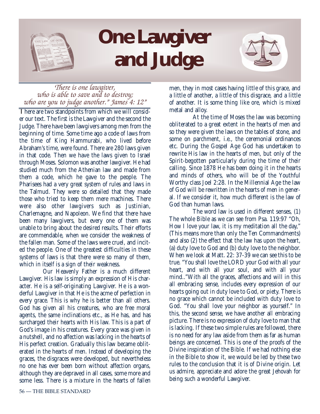

## **One Lawgiver and Judge**



## *There is one lawgiver,<br>who is able to save and to destroy;<br>who are you to judge another." James 4: 12"*

There are two standpoints from which we will consider our text. The first is the Lawgiver and the second the Judge. There have been lawgivers among men from the beginning of time. Some time ago a code of laws from the time of King Hammurabi, who lived before Abraham's time, were found. There are 280 laws given in that code. Then we have the laws given to Israel through Moses. Solomon was another lawgiver. He had studied much from the Athenian law and made from them a code, which he gave to the people. The Pharisees had a very great system of rules and laws in the Talmud. They were so detailed that they made those who tried to keep them mere machines. There were also other lawgivers such as Justinian, Charlemagne, and Napoleon. We find that there have been many lawgivers, but every one of them was unable to bring about the desired results. Their efforts are commendable, when we consider the weakness of the fallen man. Some of the laws were cruel, and incited the people. One of the greatest difficulties in these systems of laws is that there were so many of them, which in itself is a sign of their weakness.

Our Heavenly Father is a much different Lawgiver. His law is simply an expression of His character. He is a self-originating Lawgiver. He is a wonderful Lawgiver in that He is the acme of perfection in every grace. This is why he is better than all others. God has given all his creatures, who are free moral agents, the same inclinations etc., as He has, and has surcharged their hearts with His law. This is a part of God's image in his creatures. Every grace was given in a nutshell, and no affection was lacking in the hearts of His perfect creation. Gradually this law became obliterated in the hearts of men. Instead of developing the graces, the disgraces were developed, but nevertheless no one has ever been born without affection organs, although they are depraved in all cases, some more and some less. There is a mixture in the hearts of fallen

men, they in most cases having little of this grace, and a little of another, a little of this disgrace, and a little of another. It is some thing like ore, which is mixed metal and alloy.

At the time of Moses the law was becoming obliterated to a great extent in the hearts of men and so they were given the laws on the tables of stone, and some on parchment, i.e., the ceremonial ordinances etc. During the Gospel Age God has undertaken to rewrite His law in the hearts of men, but only of the Spirit-begotten particularly during the time of their calling. Since 1878 He has been doing it in the hearts and minds of others, who will be of the Youthful Worthy class Joel 2:28. In the Millennial Age the law of God will be rewritten in the hearts of men in general. If we consider it, how much different is the law of God than human laws.

The word law is used in different senses, (1) The whole Bible as we can see from Psa. 119:97 "Oh, How I love your law, it is my meditation all the day," (This means more than only the Ten Commandments) and also (2) the effect that the law has upon the heart, (a) duty love to God and (b) duty love to the neighbor. When we look at Matt. 22: 37-39 we can see this to be true. "You shall love the LORD your God with all your heart, and with all your soul, and with all your mind.."With all the graces, affections and will in this all embracing sense, includes every expression of our hearts going out in duty love to God, or piety. There is no grace which cannot be included with duty love to God. "You shall love your neighbor as yourself." In this, the second sense, we have another all embracing picture. There is no expression of duty love to man that is lacking. If these two simple rules are followed, there is no need for any law aside from them as far as human beings are concerned. This is one of the proofs of the Divine inspiration of the Bible. If we had nothing else in the Bible to show it, we would be led by these two rules to the conclusion that it is of Divine origin. Let us admire, appreciate and adore the great Jehovah for being such a wonderful Lawgiver.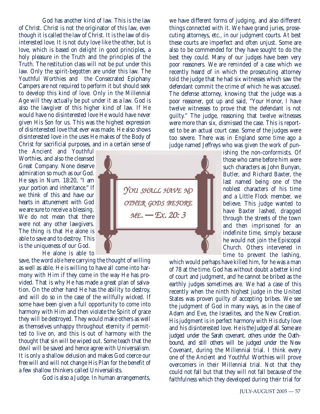God has another kind of law. This is the law of Christ. Christ is not the originator of this law, even though it is called the law of Christ. It is the law of disinterested love. It is not duty love like the other, but is love, which is based on delight in good principles, a holy pleasure in the Truth and the principles of the Truth. The restitution class will not be put under this law. Only the spirit-begotten are under this law. The Youthful Worthies and the Consecrated Epiphany Campers are not required to perform it but should seek to develop this kind of love. Only in the Millennial Age will they actually be put under it as a law. God is also the lawgiver of this higher kind of law. If He would have no disinterested love He would have never given His Son for us. This was the highest expression of disinterested love that ever was made. He also shows disinterested love in the uses He makes of the Body of Christ for sacrificial purposes, and in a certain sense of

the Ancient and Youthful Worthies, and also the cleansed Great Company. None deserve admiration so much as our God. He says in Num. 18:20, "I am your portion and inheritance." If we think of this and have our hearts in attunement with God we are sure to receive a blessing. We do not mean that there were not any other lawgivers. The thing is that He alone is able to save and to destroy. This is the uniqueness of our God.

He alone is able to

save, the word *able* here carrying the thought of willing as well as able. He is willing to have all come into harmony with Him if they come in the way He has provided. That is why He has made a great plan of salvation. On the other hand He has the ability to destroy, and will do so in the case of the willfully wicked. If some have been given a full opportunity to come into harmony with Him and then violate the Spirit of grace they will be destroyed. They would make others as well as themselves unhappy throughout eternity if permitted to live on, and this is out of harmony with the thought that sin will be wiped out. Some teach that the devil will be saved and hence agree with Universalism. It is only a shallow delusion and makes God coerce our free will and will not change His Plan for the benefit of a few shallow thinkers called Universalists.

God is also a Judge. In human arrangements,

we have different forms of judging, and also different things connected with it. We have grand juries, prosecuting attorneys, etc., in our judgment courts. At best these courts are imperfect and often unjust. Some are also to be commended for they have sought to do the best they could. Many of our judges have been very poor reasoners. We are reminded of a case which we recently heard of in which the prosecuting attorney told the judge that he had six witnesses which saw the defendant commit the crime of which he was accused. The defense attorney, knowing that the judge was a poor reasoner, got up and said, "Your Honor, I have twelve witnesses to prove that the defendant is not guilty." The judge, reasoning that twelve witnesses were more than six, dismissed the case. This is reported to be an actual court case. Some of the judges were too severe. There was in England some time ago a judge named Jeffreys who was given the work of pun-

ishing the non-conformists. Of those who came before him were such characters as John Bunyan, Butler, and Richard Baxter, the last named being one of the noblest characters of his time and a Little Flock member, we believe. This judge wanted to have Baxter lashed, dragged through the streets of the town and then imprisoned for an indefinite time, simply because he would not join the Episcopal Church. Others intervened in time to prevent the lashing,

which would perhaps have killed him, for he was a man of 78 at the time. God has without doubt a better kind of court and judgment, and he cannot be bribed as the earthly judges sometimes are. We had a case of this recently when the ninth highest judge in the United States was proven guilty of accepting bribes. We see the judgment of God in many ways, as in the case of Adam and Eve, the Israelites, and the New Creation. His judgment is in perfect harmony with His duty love and his disinterested love. He is the Judge of all. Some are judged under the Sarah covenant, others under the Oathbound, and still others will be judged under the New Covenant, during the Millennial trial. I think every one of the Ancient and Youthful Worthies will prove overcomers in their Millennial trial. Not that they could not fall but that they will not fall because of the faithfulness which they developed during their trial for



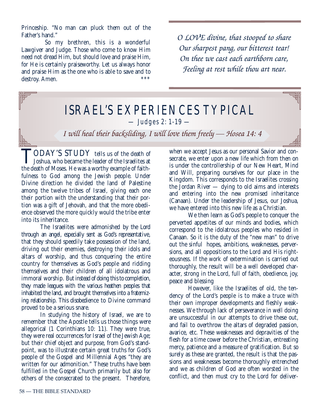Princeship. "No man can pluck them out of the Father's hand."

So my brethren, this is a wonderful Lawgiver and Judge. Those who come to know Him need not dread Him, but should love and praise Him, for He is certainly praiseworthy. Let us always honor and praise Him as the one who is able to save and to destroy  $\Lambda$ man destroy. Amen.

*O LOVE divine, that stooped to share Our sharpest pang, our bitterest tear! On thee we cast each earthborn care, Feeling at rest while thou art near.*

## ISRAEL'S EXPERIENCES TYPICAL — Judges 2: 1-19 —

*I will heal their backsliding, I will love them freely — Hosea 14: 4*

TODAY'S STUDY tells us of the death of **L** Joshua, who became the leader of the Israelites at the death of Moses. He was a worthy example of faithfulness to God among the Jewish people. Under Divine direction he divided the land of Palestine among the twelve tribes of Israel, giving each one their portion with the understanding that their portion was a gift of Jehovah, and that the more obedience observed the more quickly would the tribe enter into its inheritance.

The Israelites were admonished by the Lord through an angel, especially sent as God's representative, that they should speedily take possession of the land, driving out their enemies, destroying their idols and altars of worship, and thus conquering the entire country for themselves as God's people and ridding themselves and their children of all idolatrous and immoral worship. But instead of doing this to completion, they made leagues with the various heathen peoples that inhabited the land, and brought themselves into a fraternizing relationship. This disobedience to Divine command proved to be a serious snare.

In studying the history of Israel, we are to remember that the Apostle tells us those things were allegorical (1 Corinthians 10: 11). They were true, they were real occurrences for Israel of the Jewish Age; but their chief object and purpose, from God's standpoint, was to illustrate certain great truths for God's people of the Gospel and Millennial Ages "they are written for our admonition." These truths have been fulfilled in the Gospel Church primarily but also for others of the consecrated to the present. Therefore, when we accept Jesus as our personal Savior and consecrate, we enter upon a new life which from then on is under the controllership of our New Heart, Mind and Will, preparing ourselves for our place in the Kingdom. This corresponds to the Israelites crossing the Jordan River — dying to old aims and interests and entering into the new promised inheritance (Canaan). Under the leadership of Jesus, our Joshua, we have entered into this new life as a Christian.

We then learn as God's people to conquer the perverted appetites of our minds and bodies, which correspond to the idolatrous peoples who resided in Canaan. So it is the duty of the "new man" to drive out the sinful hopes, ambitions, weaknesses, perversions, and all oppositions to the Lord and His righteousness. If the work of extermination is carried out thoroughly, the result will be a well developed character, strong in the Lord, full of faith, obedience, joy, peace and blessing

However, like the Israelites of old, the tendency of the Lord's people is to make a truce with their own improper developments and fleshly weaknesses. We through lack of perseverance in well doing are unsuccessful in our attempts to drive these out, and fail to overthrow the altars of degraded passion, avarice, etc. These weaknesses and depravities of the flesh for a time cower before the Christian, entreating mercy, patience and a measure of gratification. But so surely as these are granted, the result is that the passions and weaknesses become thoroughly entrenched and we as children of God are often worsted in the conflict, and then must cry to the Lord for deliver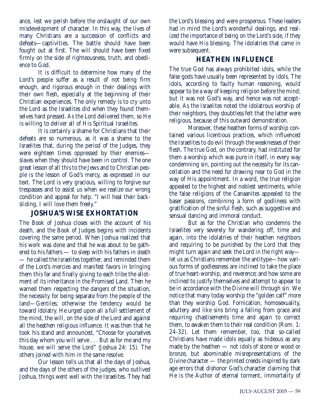ance, lest we perish before the onslaught of our own misdevelopment of character. In this way, the lives of many Christians are a succession of conflicts and defeats—captivities. The battle should have been fought out at first. The will should have been fixed firmly on the side of righteousness, truth, and obedience to God.

It is difficult to determine how many of the Lord's people suffer as a result of not being firm enough, and rigorous enough in their dealings with their own flesh, especially at the beginning of their Christian experiences. The only remedy is to cry unto the Lord as the Israelites did when they found themselves hard pressed. As the Lord delivered them, so He is willing to deliver all of His Spiritual Israelites.

It is certainly a shame for Christians that their defeats are so numerous, as it was a shame to the Israelites that, during the period of the Judges, they were eighteen times oppressed by their enemies slaves when they should have been in control. The one great lesson of all this to the Jews and to Christian people is the lesson of God's mercy, as expressed in our text. The Lord is very gracious, willing to forgive our trespasses and to assist us when we realize our wrong condition and appeal for help. "I will heal their backsliding, I will love them freely."

## **JOSHUA'S WISE EXHORTATION**

The Book of Joshua closes with the account of his death, and the Book of Judges begins with incidents covering the same period. When Joshua realized that his work was done and that he was about to be gathered to his fathers — to sleep with his fathers in death — he called the Israelites together, and reminded them of the Lord's mercies and manifest favors in bringing them this far and finally giving to each tribe the allotment of its inheritance in the Promised Land. Then he warned them respecting the dangers of the situation, the necessity for being separate from the people of the land—Gentiles; otherwise the tendency would be toward idolatry. He urged upon all a full settlement of the mind, the will, on the side of the Lord and against all the heathen religious influence. It was then that he took his stand and announced, "Choose for yourselves this day whom you will serve . . . But as for me and my house, we will serve the Lord" (Joshua 24: 15). The others joined with him in the same resolve.

Our lesson tells us that all the days of Joshua, and the days of the others of the judges, who outlived Joshua, things went well with the Israelites. They had the Lord's blessing and were prosperous. These leaders had in mind the Lord's wonderful dealings, and realized the importance of being on the Lord's side, if they would have His blessing. The idolatries that came in were subsequent.

## **HEATHEN INFLUENCE**

The true God has always prohibited idols, while the false gods have usually been represented by idols. The idols, according to faulty human reasoning, would appear to be a way of keeping religion before the mind; but it was not God's way, and hence was not acceptable. As the Israelites noted the idolatrous worship of their neighbors, they doubtless felt that the latter were religious, because of this outward demonstration.

Moreover, these heathen forms of worship contained various licentious practices, which influenced the Israelites to do evil through the weaknesses of their flesh. The true God, on the contrary, had instituted for them a worship which was pure in itself, in every way condemning sin, pointing out the necessity for its cancellation and the need for drawing near to God in the way of His appointment. In a word, the true religion appealed to the highest and noblest sentiments, while the false religions of the Canaanites appealed to the baser passions, combining a form of godliness with gratification of the sinful flesh, such as suggestive and sensual dancing and immoral conduct.

But as for the Christian who condemns the Israelites very severely for wandering off, time and again, into the idolatries of their heathen neighbors and requiring to be punished by the Lord that they might turn again and seek the Lord in the right way let us as Christians remember the antitype—how various forms of godlessness are inclined to take the place of true heart-worship, and reverence; and how some are inclined to justify themselves and attempt to appear to be in accordance with the Divine will through sin. We notice that many today worship the "golden calf" more than they worship God. Fornication, homosexuality, adultery and like sins bring a falling from grace and requiring chastisements time and again to correct them, to awaken them to their real condition (Rom. 1: 24-32). Let them remember, too, that so-called Christians have made idols equally as hideous as any made by the heathen — not idols of stone or wood or bronze, but abominable misrepresentations of the Divine character — the printed creeds inspired by dark age errors that dishonor God's character claiming that He is the Author of eternal torment, immortality of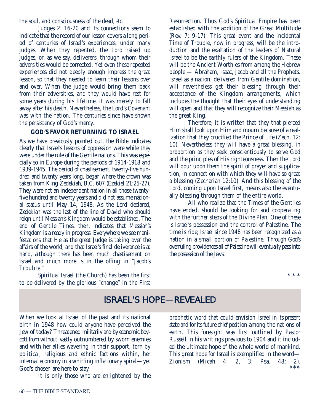the soul, and consciousness of the dead, *etc.*

Judges 2: 16-20 and its connections seem to indicate that the record of our lesson covers a long period of centuries of Israel's experiences, under many judges. When they repented, the Lord raised up judges, or, as we say, deliverers, through whom their adversities would be corrected. Yet even these repeated experiences did not deeply enough impress the great lesson, so that they needed to learn their lessons over and over. When the judge would bring them back from their adversities, and they would have rest for some years during his lifetime, it was merely to fall away after his death. Nevertheless, the Lord's Covenant was with the nation. The centuries since have shown the persistency of God's mercy.

#### **GOD'S FAVOR RETURNING TO ISRAEL**

As we have previously pointed out, the Bible indicates clearly that Israel's lessons of oppression were while they were under the rule of the Gentile nations. This was especially so in Europe during the periods of 1914-1918 and 1939-1945. The period of chastisement, twenty-five hundred and twenty years long, began where the crown was taken from King Zedekiah, B.C. 607 (Ezekiel 21:25-27). They were not an independent nation in all those twentyfive hundred and twenty years and did not assume national status until May 14, 1948. As the Lord declared, Zedekiah was the last of the line of David who should reign until Messiah's Kingdom would be established. The end of Gentile Times, then, indicates that Messiah's Kingdom is already in progress. Everywhere we see manifestations that He as the great Judge is taking over the affairs of the world, and that Israel's final deliverance is at hand, although there has been much chastisement on Israel and much more is in the offing in "Jacob's Trouble."

Spiritual Israel (the Church) has been the first to be delivered by the glorious "change" in the First Resurrection. Thus God's Spiritual Empire has been established with the addition of the Great Multitude (Rev. 7: 9-17). This great event and the incidental Time of Trouble, now in progress, will be the introduction and the exaltation of the leaders of Natural Israel to be the earthly rulers of the Kingdom. These will be the Ancient Worthies from among the Hebrew people — Abraham, Isaac, Jacob and all the Prophets. Israel as a nation, delivered from Gentile domination, will nevertheless get their blessing through their acceptance of the Kingdom arrangements, which includes the thought that their eyes of understanding will open and that they will recognize their Messiah as the great King.

Therefore, it is written that they that pierced Him shall look upon Him and mourn because of a realization that they crucified the Prince of Life (Zech. 12: 10). Nevertheless they will have a great blessing, in proportion as they seek conscientiously to serve God and the principles of His righteousness. Then the Lord will pour upon them the spirit of prayer and supplication, in connection with which they will have so great a blessing (Zechariah 12:10). And this blessing of the Lord, coming upon Israel first, means also the eventually blessing through them of the entire world.

All who realize that the Times of the Gentiles have ended, should be looking for and cooperating with the further steps of the Divine Plan. One of these is Israel's possession and the control of Palestine. The time is ripe; Israel since 1948 has been recognized as a nation in a small portion of Palestine. Through God's overruling providences all of Palestine will eventually pass into the possession of the Jews.

\* \* \*

## ISRAEL'S HOPE—REVEALED

When we look at Israel of the past and its national birth in 1948 how could anyone have perceived the Jew of today? Threatened militarily and by economic boycott from without, vastly outnumbered by sworn enemies and with her allies wavering in their support, torn by political, religious and ethnic factions within, her internal economy in a whirling inflationary spiral—yet God's chosen are here to stay.

It is only those who are enlightened by the

prophetic word that could envision Israel in its present state and for its future chief position among the nations of earth. This foresight was first outlined by Pastor Russell in his writings previous to 1904 and it included the ultimate hope of the whole world of mankind. This great hope for Israel is exemplified in the word— Zionism (Micah 4: 2, 3; Psa. 48: 2). \*\*\*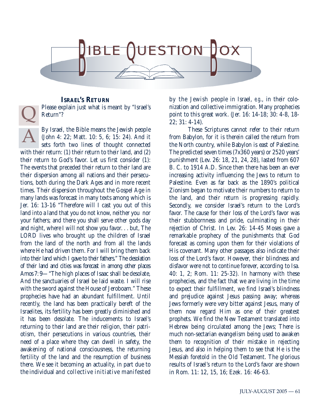

**ISRAEL'S RETURN** Please explain just what is meant by "Israel's Return"?

By Israel, the Bible means the Jewish people (John 4: 22; Matt. 10: 5, 6; 15: 24). And it sets forth two lines of thought connected with their return: (1) their return to their land, and (2) their return to God's favor. Let us first consider (1): The events that preceded their return to their land are their dispersion among all nations and their persecutions, both during the Dark Ages and in more recent times. Their dispersion throughout the Gospel Age in many lands was forecast in many texts among which is Jer. 16: 13-16 "Therefore will I cast you out of this land into a land that you do not know, neither you nor your fathers; and there you shall serve other gods day and night, where I will not show you favor. . . but, The LORD lives who brought up the children of Israel from the land of the north and from all the lands where He had driven them. For I will bring them back into their land which I gave to their fathers." The desolation of their land and cities was forecast in among other places Amos 7: 9—"The high places of Isaac shall be desolate, And the sanctuaries of Israel be laid waste. I will rise with the sword against the House of Jeroboam." These prophecies have had an abundant fulfillment. Until recently, the land has been practically bereft of the Israelites, its fertility has been greatly diminished and it has been desolate. The inducements to Israel's returning to their land are their religion, their patriotism, their persecutions in various countries, their need of a place where they can dwell in safety, the awakening of national consciousness, the returning fertility of the land and the resumption of business there. We see it becoming an actuality, in part due to the individual and collective initiative manifested A  $\overline{\mathsf{Q}}$ 

by the Jewish people in Israel, *e.g*., in their colonization and collective immigration. Many prophecies point to this great work. (Jer. 16: 14-18; 30: 4-8, 18- 22; 31: 4-14).

These Scriptures cannot refer to their return from Babylon, for it is therein called the return from the North country, while Babylon is east of Palestine. The predicted seven times (7x360 years) or 2520 years' punishment (Lev. 26: 18, 21, 24, 28), lasted from 607 B. C. to 1914 A.D. Since then there has been an ever increasing activity influencing the Jews to return to Palestine. Even as far back as the 1890's political Zionism began to motivate their numbers to return to the land, and their return is progressing rapidly. Secondly, we consider Israel's return to the Lord's favor. The cause for their loss of the Lord's favor was their stubbornness and pride, culminating in their rejection of Christ. In Lev. 26: 14-45 Moses gave a remarkable prophecy of the punishments that God forecast as coming upon them for their violations of His covenant. Many other passages also indicate their loss of the Lord's favor. However, their blindness and disfavor were not to continue forever, according to Isa. 40: 1, 2; Rom. 11: 25-32). In harmony with these prophecies, and the fact that we are living in the time to expect their fulfillment, we find Israel's blindness and prejudice against Jesus passing away; whereas Jews formerly were very bitter against Jesus, many of them now regard Him as one of their greatest prophets. We find the New Testament translated into Hebrew being circulated among the Jews; There is much non-sectarian evangelism being used to awaken them to recognition of their mistake in rejecting Jesus, and also in helping them to see that He is the Messiah foretold in the Old Testament. The glorious results of Israel's return to the Lord's favor are shown in Rom. 11: 12, 15, 16; Ezek. 16: 46-63.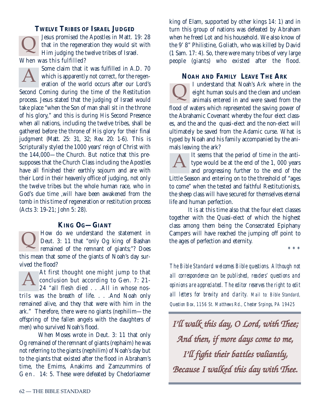**TWELVE TRIBES OF ISRAEL JUDGED** Jesus promised the Apostles in Matt. 19: 28 that in the regeneration they would sit with Him judging the twelve tribes of Israel. When was this fulfilled?  $\overline{Q}$ 

Some claim that it was fulfilled in A.D. 70 which is apparently not correct, for the regeneration of the world occurs after our Lord's Second Coming during the time of the Restitution process. Jesus stated that the judging of Israel would take place "when the Son of man shall sit in the throne of his glory," and this is during His Second Presence when all nations, including the twelve tribes, shall be gathered before the throne of His glory for their final judgment (Matt. 25: 31, 32; Rev. 20: 1-6). This is Scripturally styled the 1000 years' reign of Christ with the 144,000—the Church. But notice that this presupposes that the Church Class including the Apostles have all finished their earthly sojourn and are with their Lord in their heavenly office of judging, not only the twelve tribes but the whole human race, who in God's due time ,will have been awakened from the tomb in this time of regeneration or restitution process (Acts 3: 19-21; John 5: 28). A

## **KING OG—GIANT**

How do we understand the statement in Deut. 3: 11 that "only Og king of Bashan remained of the remnant of giants;"? Does this mean that some of the giants of Noah's day survived the flood?  $\overline{Q}$ 

At first thought one might jump to that conclusion but according to Gen. 7: 21- 24 "all flesh died . . .All in whose nostrils was the breath of life. . . .And Noah only remained alive, and they that were with him in the ark." Therefore, there were no giants (nephilim—the offspring of the fallen angels with the daughters of men) who survived Noah's flood. A

When Moses wrote in Deut. 3: 11 that only Og remained of the remnant of giants (rephaim) he was not referring to the giants (nephilim) of Noah's day but to the giants that existed after the flood in Abraham's time, the Emims, Anakims and Zamzummins of Gen. 14: 5. These were defeated by Chedorlaomer

king of Elam, supported by other kings 14: 1) and in turn this group of nations was defeated by Abraham when he freed Lot and his household. We also know of the 9' 8" Philistine, Goliath, who was killed by David (1 Sam. 17: 4). So, there were many tribes of very large people (giants) who existed after the flood.

### **NOAH AND FAMILY LEAVE THE ARK**

I understand that Noah's Ark where in the eight human souls and the clean and unclean **Q** i understand that INOan's Ark where in the eight human souls and the clean and unclean animals entered in and were saved from the flood of waters which represented the saving power of the Abrahamic Covenant whereby the four elect classes, and the and the quasi-elect and the non-elect will ultimately be saved from the Adamic curse. What is typed by Noah and his family accompanied by the animals leaving the ark?

It seems that the period of time in the antitype would be at the end of the 1, 000 years and progressing further to the end of the Little Season and entering on to the threshold of "ages to come" when the tested and faithful Restitutionists, the sheep class will have secured for themselves eternal life and human perfection. A

It is at this time also that the four elect classes together with the Quasi-elect of which the highest class among them being the Consecrated Epiphany Campers will have reached the jumping off point to the ages of perfection and eternity.

\*\*\*

*The Bible Standard welcomes Bible questions. Although not all correspondence can be published, readers' questions and opinions are appreciated. The editor reserves the right to edit all letters for brevity and clarity. Mail to: Bible Standard, Question Box, 1156 St. Matthews Rd., Chester Srpings, PA 19425*

*I'll walk this day, O Lord, with Thee; And then, if more days come to me, I'll fight their battles valiantly, Because I walked this day with Thee.*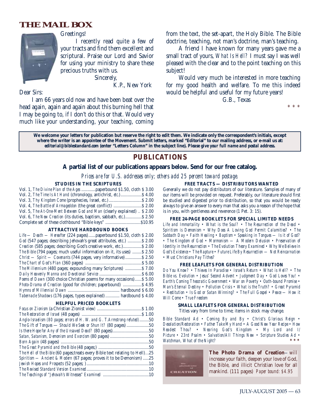## **THE MAIL BOX**



Greetings!

I recently read quite a few of your tracts and find them excellent and scriptural. Praise our Lord and Savior for using your ministry to share these precious truths with us.

Sincerely,

K.P., New York

Dear Sirs:

I am 66 years old now and have been beat over the head again, again and again about this burning hell that I may be going to, if I don't do this or that. Would very much like your understanding, your teaching, coming from the text, the set-apart, the Holy Bible. The Bible doctrine, teaching, not man's doctrine, man's teaching.

A friend I have known for many years gave me a small tract of yours, *What Is Hell?* I must say I was well pleased with the clear and to the point teaching on this subject!

Would very much be interested in more teaching for my good health and welfare. To me this indeed would be helpful and useful for my future years!

G.B., Texas

\* \* \*

**We welcome your letters for publication but reserve the right to edit them. We indicate only the correspondent's initials, except where the writer is an appointee of the Movement. Submit letters, marked "Editorial" to our mailing address, or e-mail us at:** *editorial@biblestandard.com* **(enter "Letters Column" in the subject line).** *Please give your full name and postal address.*

### **PUBLICATIONS**

#### **A partial list of our publications appears below. Send for our free catalog.**

*Prices are for U.S. addresses only; others add 25 percent toward postage.*

#### **STUDIES IN THE SCRIPTURES**

| Vol. 1, The Divine Plan of the Ages  paperbound \$1.50, cloth \$3.00     |  |
|--------------------------------------------------------------------------|--|
| Vol. 2, The Time Is At Hand (chronology, antichrist, etc.) \$4.00        |  |
|                                                                          |  |
| Vol. 4, The Battle of Armageddon (the great conflict)  \$ 2.00           |  |
| Vol. 5, The At-One-Ment Between God and Man (clearly explained)  \$ 2.00 |  |
| Vol. 6, The New Creation (its duties, baptism, sabbath, etc.) \$2.50     |  |
|                                                                          |  |

#### **ATTRACTIVE HARDBOUND BOOKS**

| $Life$ — Death — Hereafter (224 pages)  paperbound \$1.50, cloth \$2.00 |
|-------------------------------------------------------------------------|
| God (547 pages; describing Jehovah's great attributes, etc.)  \$2.00    |
| Creation (585 pages; describing God's creative work, etc.) \$2.00       |
| The Bible (794 pages; much useful information on it, its uses)  \$2.50  |
| $Christ - Spirit - Covenants (744 pages, very informative) $ \$ 2.50    |
|                                                                         |
| <i>The Millennium</i> (480 pages; expounding many Scriptures) \$ 7.00   |
|                                                                         |
| Poems of Dawn (300 choice Christian poems for many occasions) \$5.00    |
| <i>Photo-Drama of Creation</i> (good for children; paperbound)  \$4.95  |
|                                                                         |
| Tabernacle Shadows (176 pages, types explained)  hardbound \$4.00       |

#### **HELPFUL PRICED BOOKLETS**

| Anglo-Israelism (80 pages; errors of H. W. and G. T.Armstrong refuted)50        |  |
|---------------------------------------------------------------------------------|--|
| The Gift of Tongues — Should We Seek or Shun It? (80 pages) 50                  |  |
| Is there Hope for Any of the Unsaved Dead? (80 pages)50                         |  |
|                                                                                 |  |
|                                                                                 |  |
|                                                                                 |  |
| The Hell of the Bible (60 pages; treats every Bible text relating to Hell)25    |  |
| <i>Spiritism — Ancient &amp; Modern</i> (67 pages; proves it to be Demonism) 25 |  |
|                                                                                 |  |
|                                                                                 |  |
|                                                                                 |  |
|                                                                                 |  |

**FREE TRACTS — DISTRIBUTORS WANTED** Generally we do not pay distributors of our literature. Samples of many of

our items will be provided on request. Preferably, our literature should first be studied and digested prior to distribution, so that you would be ready always to give an answer to every man that asks you a reason of the hope that is in you, with gentleness and reverence (1 Pet. 3: 15).

#### **FREE 24-PAGE BOOKLETS FOR SPECIAL LIMITED NEEDS**

*Life and Immortality • What is the Soul? • The Resurrection of the Dead • Spiritism is Demonism • Why Does A Loving God Permit Calamities? • The Sabbath Day • Faith Healing • Baptism • Speaking in Tongues — Is it of God? • The Kingdom of God • Mormonism — A Modern Delusion • Preservation of Identity in the Resurrection • The Evolution Theory Examined • Why We Believe in God's Existence • The Rapture • Future Life By Resurrection — Not Reincarnation • Must Christians Pay Tithes?*

#### **FREE LEAFLETS FOR GENERAL DISTRIBUTION**

*Do You Know? • Thieves In Paradise • Israel's Return • What is Hell? • The Bible vs. Evolution • Jesus' Second Advent • Judgment Day • God Loves You! • Earth's Coming Theocratic Government • War on Poverty • Oath-bound Promise • Man's Eternal Destiny • Pollution Crisis • What is the Truth? • Great Pyramid • Restitution • Is God or Satan Winning? • The Full Gospel • Peace — How it Will Come • True Freedom*

#### **SMALL LEAFLETS FOR GENERAL DISTRIBUTION** Titles vary from time to time; items in stock may change.

*Bible Standard Ad • Coming By and By • Christ's Glorious Reign • Desolation/Restoration • Father Take My Hand • A Good New Year Recipe • How Readest Thou? • Nearing God's Kingdom • My Lord and I/ Picture • 23rd Psalm • Salvation/All Things New • Scripture Studies Ad • Watchman, What of the Night?* 



**The Photo Drama of Creation***—*will increase your faith, deepen your love of God, the Bible, and illicit Christian love for all mankind. (111 pages) *Paper bound: \$4.95*